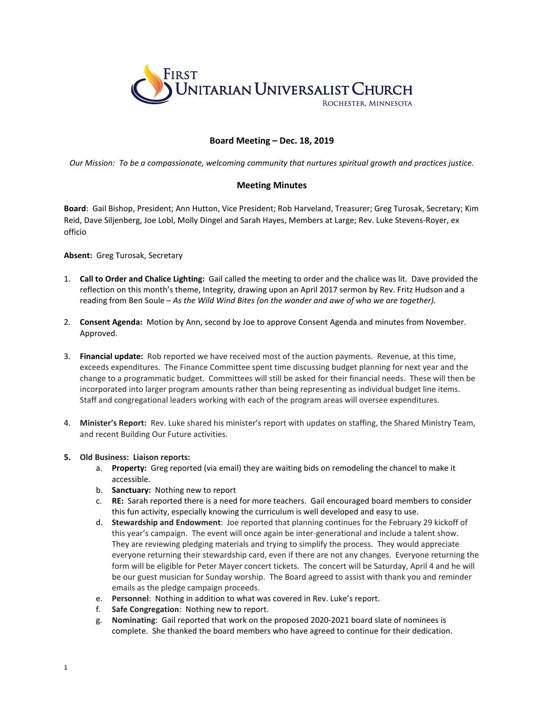

## **Board Meeting – Dec. 18, 2019**

*Our Mission: To be a compassionate, welcoming community that nurtures spiritual growth and practices justice.*

## **Meeting Minutes**

**Board**: Gail Bishop, President; Ann Hutton, Vice President; Rob Harveland, Treasurer; Greg Turosak, Secretary; Kim Reid, Dave Siljenberg, Joe Lobl, Molly Dingel and Sarah Hayes, Members at Large; Rev. Luke Stevens-Royer, ex officio

## **Absent:** Greg Turosak, Secretary

- 1. **Call to Order and Chalice Lighting:** Gail called the meeting to order and the chalice was lit. Dave provided the reflection on this month's theme, Integrity, drawing upon an April 2017 sermon by Rev. Fritz Hudson and a reading from Ben Soule – *As the Wild Wind Bites (on the wonder and awe of who we are together).*
- 2. **Consent Agenda:** Motion by Ann, second by Joe to approve Consent Agenda and minutes from November. Approved.
- 3. **Financial update:** Rob reported we have received most of the auction payments. Revenue, at this time, exceeds expenditures. The Finance Committee spent time discussing budget planning for next year and the change to a programmatic budget. Committees will still be asked for their financial needs. These will then be incorporated into larger program amounts rather than being representing as individual budget line items. Staff and congregational leaders working with each of the program areas will oversee expenditures.
- 4. **Minister's Report:** Rev. Luke shared his minister's report with updates on staffing, the Shared Ministry Team, and recent Building Our Future activities.

## **5. Old Business: Liaison reports:**

- a. **Property:** Greg reported (via email) they are waiting bids on remodeling the chancel to make it accessible.
- b. **Sanctuary:** Nothing new to report
- c. **RE:** Sarah reported there is a need for more teachers. Gail encouraged board members to consider this fun activity, especially knowing the curriculum is well developed and easy to use.
- d. **Stewardship and Endowment**: Joe reported that planning continues for the February 29 kickoff of this year's campaign. The event will once again be inter-generational and include a talent show. They are reviewing pledging materials and trying to simplify the process. They would appreciate everyone returning their stewardship card, even if there are not any changes. Everyone returning the form will be eligible for Peter Mayer concert tickets. The concert will be Saturday, April 4 and he will be our guest musician for Sunday worship. The Board agreed to assist with thank you and reminder emails as the pledge campaign proceeds.
- e. **Personnel**: Nothing in addition to what was covered in Rev. Luke's report.
- f. **Safe Congregation**: Nothing new to report.
- g. **Nominating**: Gail reported that work on the proposed 2020-2021 board slate of nominees is complete. She thanked the board members who have agreed to continue for their dedication.